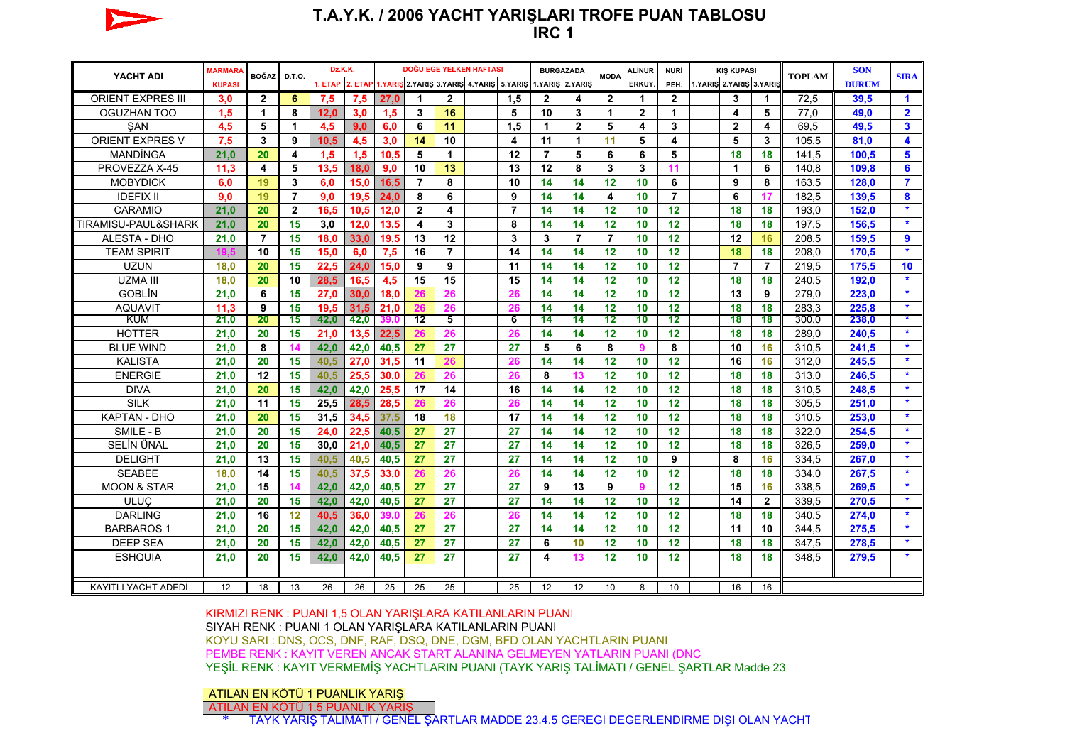

### **T.A.Y.K. / 2006 YACHT YARIŞLARI TROFE PUAN TABLOSU IRC 1**

| YACHT ADI                | <b>MARMARA</b> | <b>BOĞAZ</b>   | D.T.O.                  | Dz.K.K.                                                                 |      | DOĞU EGE YELKEN HAFTASI |                |                         |  |                | <b>BURGAZADA</b> |                | <b>MODA</b>             | <b>ALİNUR</b>           | <b>NURİ</b>          | <b>KIS KUPASI</b> |                         |                |               | <b>SON</b>   | <b>SIRA</b>             |
|--------------------------|----------------|----------------|-------------------------|-------------------------------------------------------------------------|------|-------------------------|----------------|-------------------------|--|----------------|------------------|----------------|-------------------------|-------------------------|----------------------|-------------------|-------------------------|----------------|---------------|--------------|-------------------------|
|                          | <b>KUPASI</b>  |                |                         | 1. ETAP 2. ETAP 1.YARIS 2.YARIS 3.YARIS 4.YARIS 5.YARIS 1.YARIS 2.YARIS |      |                         |                |                         |  |                |                  |                |                         | ERKUY.                  | PEH.                 |                   | 1.YARIŞ 2.YARIŞ 3.YARIŞ |                | <b>TOPLAM</b> | <b>DURUM</b> |                         |
| <b>ORIENT EXPRES III</b> | 3,0            | $\overline{2}$ | 6                       | 7,5                                                                     | 7,5  | 27,0                    | 1              | $\mathbf{2}$            |  | 1,5            | $\mathbf{2}$     | 4              | $\mathbf{2}$            | 1                       | $\mathbf{2}$         |                   | 3                       | 1              | 72,5          | 39,5         | $\blacktriangleleft$    |
| OGUZHAN TOO              | 1.5            | $\mathbf{1}$   | 8                       | 12.0                                                                    | 3,0  | 1,5                     | $\mathbf{3}$   | 16                      |  | 5              | 10               | 3              | 1                       | $\overline{2}$          | $\blacktriangleleft$ |                   | 4                       | 5              | 77.0          | 49.0         | $\overline{2}$          |
| SAN                      | 4,5            | 5              | $\blacktriangleleft$    | 4,5                                                                     | 9,0  | 6.0                     | 6              | 11                      |  | 1.5            | $\mathbf 1$      | $\overline{2}$ | 5                       | $\overline{\mathbf{4}}$ | 3                    |                   | $\overline{2}$          | 4              | 69.5          | 49.5         | $\overline{\mathbf{3}}$ |
| <b>ORIENT EXPRES V</b>   | 7.5            | 3              | 9                       | 10.5                                                                    | 4,5  | 3,0                     | 14             | 10                      |  | 4              | 11               | $\mathbf{1}$   | 11                      | 5                       | 4                    |                   | 5                       | 3              | 105.5         | 81.0         | 4                       |
| <b>MANDINGA</b>          | 21,0           | 20             | $\overline{\mathbf{4}}$ | 1,5                                                                     | 1,5  | 10,5                    | 5              | $\mathbf{1}$            |  | 12             | $\overline{7}$   | 5              | 6                       | 6                       | 5                    |                   | 18                      | 18             | 141,5         | 100,5        | 5                       |
| PROVEZZA X-45            | 11.3           | 4              | 5                       | 13,5                                                                    | 18.0 | 9,0                     | 10             | 13                      |  | 13             | 12               | 8              | 3                       | 3                       | 11                   |                   | 1                       | 6              | 140,8         | 109,8        | 6                       |
| <b>MOBYDICK</b>          | 6.0            | 19             | 3                       | 6.0                                                                     | 15.0 | 16.5                    | $\overline{7}$ | 8                       |  | 10             | 14               | 14             | 12                      | 10                      | 6                    |                   | 9                       | 8              | 163.5         | 128.0        | $\overline{7}$          |
| <b>IDEFIX II</b>         | 9.0            | 19             | $\overline{7}$          | 9.0                                                                     | 19.5 | 24.0                    | 8              | 6                       |  | 9              | 14               | 14             | $\overline{\mathbf{4}}$ | 10                      | $\overline{7}$       |                   | 6                       | 17             | 182.5         | 139.5        | 8                       |
| CARAMIO                  | 21.0           | 20             | $\mathbf{2}$            | 16.5                                                                    | 10.5 | 12.0                    | $\overline{2}$ | $\overline{\mathbf{4}}$ |  | $\overline{7}$ | 14               | 14             | 12                      | 10                      | 12                   |                   | 18                      | 18             | 193.0         | 152.0        | $\star$                 |
| TIRAMISU-PAUL&SHARK      | 21,0           | 20             | 15                      | 3,0                                                                     | 12,0 | 13,5                    | 4              | 3                       |  | 8              | 14               | 14             | 12                      | 10                      | 12                   |                   | 18                      | 18             | 197,5         | 156,5        | $\star$                 |
| <b>ALESTA - DHO</b>      | 21,0           | $\overline{7}$ | 15                      | 18,0                                                                    | 33,0 | 19,5                    | 13             | 12                      |  | 3              | 3                | $\overline{7}$ | $\overline{7}$          | 10                      | 12                   |                   | 12                      | 16             | 208,5         | 159,5        | 9                       |
| <b>TEAM SPIRIT</b>       |                | 10             | 15                      | 15,0                                                                    | 6,0  | 7,5                     | 16             | $\overline{7}$          |  | 14             | 14               | 14             | 12                      | 10                      | 12                   |                   | 18                      | 18             | 208,0         | 170,5        | $\star$                 |
| <b>UZUN</b>              | 18.0           | 20             | 15                      | 22,5                                                                    | 24.0 | 15.0                    | 9              | 9                       |  | 11             | 14               | 14             | 12                      | 10                      | 12                   |                   | $\overline{7}$          | $\overline{7}$ | 219.5         | 175,5        | 10                      |
| <b>UZMA III</b>          | 18.0           | 20             | 10                      | 28,5                                                                    | 16.5 | 4,5                     | 15             | 15                      |  | 15             | 14               | 14             | 12                      | 10                      | 12                   |                   | 18                      | 18             | 240,5         | 192,0        | $\star$                 |
| <b>GOBLIN</b>            | 21.0           | 6              | 15                      | 27.0                                                                    | 30.0 | 18.0                    | 26             | 26                      |  | 26             | 14               | 14             | 12                      | 10                      | 12                   |                   | 13                      | 9              | 279.0         | 223,0        | $\star$                 |
| <b>AQUAVIT</b>           | 11.3           | 9              | 15                      | 19.5                                                                    | 31,5 | 21.0                    | 26             | 26                      |  | 26             | 14               | 14             | 12                      | 10                      | 12                   |                   | 18                      | 18             | 283.3         | 225,8        | $\star$                 |
| <b>KUM</b>               | 21.0           | 20             | 15                      | 42,0                                                                    | 42,0 | 39.0                    | 12             | 5                       |  | 6              | 14               | 14             | 12                      | 10                      | 12                   |                   | 18                      | 18             | 300.0         | 238,0        |                         |
| <b>HOTTER</b>            | 21.0           | 20             | 15                      | 21,0                                                                    | 13,5 | 22,5                    | 26             | 26                      |  | 26             | 14               | 14             | 12                      | 10                      | 12                   |                   | 18                      | 18             | 289,0         | 240,5        |                         |
| <b>BLUE WIND</b>         | 21.0           | 8              | 14                      | 42.0                                                                    | 42,0 | 40,5                    | 27             | 27                      |  | 27             | 5                | 6              | 8                       | 9                       | 8                    |                   | 10                      | 16             | 310.5         | 241.5        | $\star$                 |
| <b>KALISTA</b>           | 21,0           | 20             | 15                      | 40,5                                                                    | 27,0 | 31,5                    | 11             | 26                      |  | 26             | 14               | 14             | 12                      | 10                      | 12                   |                   | 16                      | 16             | 312,0         | 245,5        | $\star$                 |
| <b>ENERGIE</b>           | 21.0           | 12             | 15                      | 40.5                                                                    | 25.5 | 30.0                    | 26             | 26                      |  | 26             | 8                | 13             | 12                      | 10                      | 12                   |                   | 18                      | 18             | 313.0         | 246,5        | $\star$                 |
| <b>DIVA</b>              | 21.0           | 20             | 15                      | 42,0                                                                    | 42.0 | 25.5                    | 17             | 14                      |  | 16             | 14               | 14             | 12                      | 10                      | 12                   |                   | 18                      | 18             | 310.5         | 248,5        | $\star$                 |
| <b>SILK</b>              | 21.0           | 11             | 15                      | 25.5                                                                    | 28.5 | 28.5                    | 26             | 26                      |  | 26             | 14               | 14             | 12                      | 10                      | 12                   |                   | 18                      | 18             | 305.5         | 251.0        | $\star$                 |
| <b>KAPTAN - DHO</b>      | 21.0           | 20             | 15                      | 31,5                                                                    | 34.5 | 37.5                    | 18             | 18                      |  | 17             | 14               | 14             | 12                      | 10                      | 12                   |                   | 18                      | 18             | 310.5         | 253.0        | $\star$                 |
| SMILE - B                | 21,0           | 20             | 15                      | 24,0                                                                    | 22,5 | 40,5                    | 27             | 27                      |  | 27             | 14               | 14             | 12                      | 10                      | 12                   |                   | 18                      | 18             | 322,0         | 254,5        | $\star$                 |
| SELİN ÜNAL               | 21,0           | 20             | 15                      | 30,0                                                                    | 21,0 | 40,5                    | 27             | 27                      |  | 27             | 14               | 14             | 12                      | 10                      | 12                   |                   | 18                      | 18             | 326,5         | 259,0        | $\star$                 |
| <b>DELIGHT</b>           | 21,0           | 13             | 15                      | 40,5                                                                    | 40,5 | 40,5                    | 27             | 27                      |  | 27             | 14               | 14             | 12                      | 10                      | 9                    |                   | 8                       | 16             | 334,5         | 267,0        | $\star$                 |
| <b>SEABEE</b>            | 18.0           | 14             | 15                      | 40,5                                                                    | 37,5 | 33.0                    | 26             | 26                      |  | 26             | 14               | 14             | 12                      | 10                      | 12                   |                   | 18                      | 18             | 334.0         | 267,5        | $\star$                 |
| <b>MOON &amp; STAR</b>   | 21.0           | 15             | 14                      | 42,0                                                                    | 42,0 | 40,5                    | 27             | 27                      |  | 27             | 9                | 13             | 9                       | $\mathbf{9}$            | 12                   |                   | 15                      | 16             | 338.5         | 269,5        | $\star$                 |
| <b>ULUC</b>              | 21.0           | 20             | 15                      | 42.0                                                                    | 42.0 | 40.5                    | 27             | 27                      |  | 27             | 14               | 14             | 12                      | 10                      | 12                   |                   | 14                      | $\overline{2}$ | 339.5         | 270.5        | $\star$                 |
| <b>DARLING</b>           | 21,0           | 16             | 12                      | 40,5                                                                    | 36.0 | 39.0                    | 26             | 26                      |  | 26             | 14               | 14             | 12                      | 10                      | 12                   |                   | 18                      | 18             | 340,5         | 274,0        | $\star$                 |
| <b>BARBAROS 1</b>        | 21.0           | 20             | 15                      | 42,0                                                                    | 42,0 | 40,5                    | 27             | 27                      |  | 27             | 14               | 14             | 12                      | 10                      | 12                   |                   | 11                      | 10             | 344,5         | 275,5        | $\star$                 |
| <b>DEEP SEA</b>          | 21.0           | 20             | 15                      | 42.0                                                                    | 42.0 | 40.5                    | 27             | 27                      |  | 27             | 6                | 10             | 12                      | 10                      | 12                   |                   | 18                      | 18             | 347,5         | 278,5        | $\star$                 |
| <b>ESHQUIA</b>           | 21.0           | 20             | 15                      | 42.0                                                                    | 42.0 | 40,5                    | 27             | 27                      |  | 27             | 4                | 13             | 12                      | 10                      | 12                   |                   | 18                      | 18             | 348,5         | 279,5        | $\star$                 |
|                          |                |                |                         |                                                                         |      |                         |                |                         |  |                |                  |                |                         |                         |                      |                   |                         |                |               |              |                         |
| KAYITLI YACHT ADEDİ      | 12             | 18             | 13                      | 26                                                                      | 26   | 25                      | 25             | 25                      |  | 25             | 12               | 12             | 10                      | 8                       | 10                   |                   | 16                      | 16             |               |              |                         |

KIRMIZI RENK : PUANI 1,5 OLAN YARIŞLARA KATILANLARIN PUANI <sup>S</sup>İYAH RENK : PUANI 1 OLAN YARIŞLARA KATILANLARIN PUANI KOYU SARI : DNS, OCS, DNF, RAF, DSQ, DNE, DGM, BFD OLAN YACHTLARIN PUANI PEMBE RENK : KAYIT VEREN ANCAK START ALANINA GELMEYEN YATLARIN PUANI (DNC YEŞİL RENK : KAYIT VERMEMİŞ YACHTLARIN PUANI (TAYK YARIŞ TALİMATI / GENEL ŞARTLAR Madde 23

### ATILAN EN KÖTÜ 1 PUANLIK YARIŞ

ATILAN EN KÖTÜ 1.5 PUANLIK YARIŞ \* TAYK YARIŞ TALİMATI / GENEL ŞARTLAR MADDE 23.4.5 GEREĞİ DEĞERLENDİRME DIŞI OLAN YACHT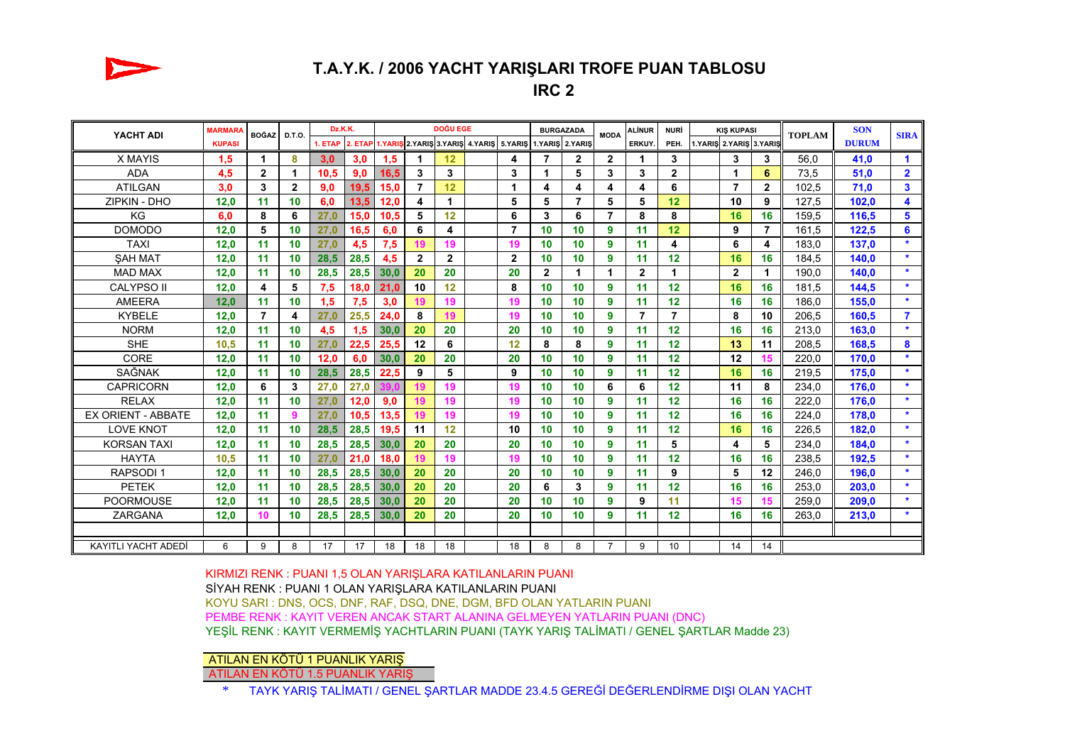

# **T.A.Y.K. / 2006 YACHT YARIŞLARI TROFE PUAN TABLOSU**

**IRC 2**

| YACHT ADI                 | <b>MARMARA</b> | <b>BOĞAZ</b>   | <b>D.T.O.</b>        | Dz.K.K. |         | DOĞU EGE |                |              |                                                         |                | <b>BURGAZADA</b> |                | <b>MODA</b>    | <b>ALİNUR</b>  | NURİ         | <b>KIS KUPASI</b> |                         |                | <b>TOPLAM</b> | <b>SON</b>   | <b>SIRA</b>             |
|---------------------------|----------------|----------------|----------------------|---------|---------|----------|----------------|--------------|---------------------------------------------------------|----------------|------------------|----------------|----------------|----------------|--------------|-------------------|-------------------------|----------------|---------------|--------------|-------------------------|
|                           | <b>KUPASI</b>  |                |                      | 1. ETAP | 2. ETAP |          |                |              | 1.YARIS 2.YARIS 3.YARIS 4.YARIS 5.YARIS 1.YARIS 2.YARIS |                |                  |                |                | ERKUY.         | PEH.         |                   | 1.YARIS 2.YARIS 3.YARIS |                |               | <b>DURUM</b> |                         |
| X MAYIS                   | 1,5            | 1              | 8                    | 3,0     | 3.0     | 1,5      | 1              | 12           |                                                         | 4              | $\overline{7}$   | $\overline{2}$ | $\mathbf{2}$   | 1              | 3            |                   | 3                       | 3              | 56.0          | 41.0         | $\mathbf{1}$            |
| <b>ADA</b>                | 4,5            | $\mathbf{2}$   | $\blacktriangleleft$ | 10,5    | 9,0     | 16.5     | 3              | 3            |                                                         | 3              |                  | 5              | 3              | 3              | $\mathbf{2}$ |                   | 1                       | 6              | 73,5          | 51,0         | $\overline{2}$          |
| <b>ATILGAN</b>            | 3.0            | 3              | $\mathbf{2}$         | 9,0     | 19,5    | 15.0     | $\overline{7}$ | 12           |                                                         | 1              | 4                | 4              | 4              | 4              | 6            |                   | $\overline{7}$          | $\mathbf{2}$   | 102.5         | 71.0         | $\mathbf{3}$            |
| ZIPKIN - DHO              | 12,0           | 11             | 10                   | 6,0     | 13,5    | 12.0     | 4              | 1            |                                                         | 5              | 5                | $\overline{7}$ | 5              | 5              | 12           |                   | 10                      | 9              | 127.5         | 102,0        | 4                       |
| KG                        | 6.0            | 8              | 6                    | 27,0    | 15,0    | 10.5     | 5              | 12           |                                                         | 6              | 3                | 6              | $\overline{7}$ | 8              | 8            |                   | 16                      | 16             | 159,5         | 116,5        | 5                       |
| <b>DOMODO</b>             | 12,0           | 5              | 10                   | 27,0    | 16.5    | 6.0      | 6              | 4            |                                                         | $\overline{7}$ | 10               | 10             | 9              | 11             | 12           |                   | 9                       | $\overline{7}$ | 161.5         | 122.5        | 6                       |
| <b>TAXI</b>               | 12,0           | 11             | 10                   | 27,0    | 4,5     | 7,5      | 19             | 19           |                                                         | 19             | 10               | 10             | 9              | 11             | 4            |                   | 6                       | 4              | 183,0         | 137,0        | $\star$                 |
| <b>SAH MAT</b>            | 12,0           | 11             | 10                   | 28.5    | 28.5    | 4,5      | $\overline{2}$ | $\mathbf{2}$ |                                                         | 2              | 10               | 10             | 9              | 11             | 12           |                   | 16                      | 16             | 184.5         | 140.0        | $\star$                 |
| <b>MAD MAX</b>            | 12,0           | 11             | 10                   | 28,5    | 28,5    | 30.0     | 20             | 20           |                                                         | 20             | $\mathbf{2}$     | 1              | 1              | $\mathbf{2}$   | 1            |                   | $\mathbf{2}$            |                | 190.0         | 140.0        | $\star$                 |
| <b>CALYPSO II</b>         | 12,0           | 4              | 5                    | 7,5     | 18.0    | 21.0     | 10             | 12           |                                                         | 8              | 10               | 10             | 9              | 11             | 12           |                   | 16                      | 16             | 181.5         | 144,5        | $\star$                 |
| <b>AMEERA</b>             | 12.0           | 11             | 10                   | 1,5     | 7,5     | 3,0      | 19             | 19           |                                                         | 19             | 10               | 10             | 9              | 11             | 12           |                   | 16                      | 16             | 186.0         | 155,0        | $\star$                 |
| <b>KYBELE</b>             | 12,0           | $\overline{7}$ | 4                    | 27,0    | 25,5    | 24.0     | 8              | 19           |                                                         | 19             | 10               | 10             | $\mathbf{9}$   | $\overline{7}$ | 7            |                   | 8                       | 10             | 206,5         | 160,5        | $\overline{\mathbf{7}}$ |
| <b>NORM</b>               | 12,0           | 11             | 10                   | 4,5     | 1,5     | 30.0     | 20             | 20           |                                                         | 20             | 10               | 10             | 9              | 11             | 12           |                   | 16                      | 16             | 213.0         | 163,0        | $\star$                 |
| <b>SHE</b>                | 10.5           | 11             | 10                   | 27,0    | 22.5    | 25.5     | 12             | 6            |                                                         | 12             | 8                | 8              | 9              | 11             | 12           |                   | 13                      | 11             | 208.5         | 168.5        | 8                       |
| <b>CORE</b>               | 12,0           | 11             | 10                   | 12.0    | 6.0     | 30.0     | 20             | 20           |                                                         | 20             | 10               | 10             | 9              | 11             | 12           |                   | 12                      | 15             | 220,0         | 170.0        | $\star$                 |
| SAĞNAK                    | 12,0           | 11             | 10                   | 28,5    | 28,5    | 22.5     | 9              | 5            |                                                         | 9              | 10               | 10             | 9              | 11             | 12           |                   | 16                      | 16             | 219.5         | 175.0        | $\star$                 |
| <b>CAPRICORN</b>          | 12,0           | 6              | 3                    | 27,0    | 27,0    |          | 19             | 19           |                                                         | 19             | 10               | 10             | 6              | 6              | 12           |                   | 11                      | 8              | 234,0         | 176,0        | $\star$                 |
| <b>RELAX</b>              | 12,0           | 11             | 10                   | 27.0    | 12.0    | 9.0      | 19             | 19           |                                                         | 19             | 10               | 10             | 9              | 11             | 12           |                   | 16                      | 16             | 222.0         | 176.0        | $\star$                 |
| <b>EX ORIENT - ABBATE</b> | 12,0           | 11             | 9                    | 27,0    | 10.5    | 13.5     | 19             | 19           |                                                         | 19             | 10               | 10             | 9              | 11             | 12           |                   | 16                      | 16             | 224.0         | 178.0        | $\star$                 |
| <b>LOVE KNOT</b>          | 12,0           | 11             | 10                   | 28,5    | 28.5    | 19.5     | 11             | 12           |                                                         | 10             | 10               | 10             | 9              | 11             | 12           |                   | 16                      | 16             | 226.5         | 182.0        | $\star$                 |
| <b>KORSAN TAXI</b>        | 12,0           | 11             | 10                   | 28,5    | 28,5    | 30,0     | 20             | 20           |                                                         | 20             | 10               | 10             | 9              | 11             | 5            |                   | 4                       | 5              | 234.0         | 184,0        | $\star$                 |
| <b>HAYTA</b>              | 10,5           | 11             | 10                   | 27,0    | 21,0    | 18.0     | 19             | 19           |                                                         | 19             | 10               | 10             | 9              | 11             | 12           |                   | 16                      | 16             | 238,5         | 192,5        | $\star$                 |
| <b>RAPSODI1</b>           | 12,0           | 11             | 10                   | 28,5    | 28,5    | 30,0     | 20             | 20           |                                                         | 20             | 10               | 10             | 9              | 11             | 9            |                   | 5                       | 12             | 246.0         | 196.0        | $\star$                 |
| <b>PETEK</b>              | 12,0           | 11             | 10                   | 28,5    | 28,5    | 30.0     | 20             | 20           |                                                         | 20             | 6                | 3              | 9              | 11             | 12           |                   | 16                      | 16             | 253,0         | 203,0        | $\star$                 |
| <b>POORMOUSE</b>          | 12,0           | 11             | 10                   | 28,5    | 28,5    | 30,0     | 20             | 20           |                                                         | 20             | 10               | 10             | 9              | 9              | 11           |                   | 15                      | 15             | 259.0         | 209,0        | $\star$                 |
| ZARGANA                   | 12,0           | 10             | 10                   | 28,5    | 28,5    | 30,0     | 20             | 20           |                                                         | 20             | 10               | 10             | 9              | 11             | 12           |                   | 16                      | 16             | 263.0         | 213,0        | $\star$                 |
|                           |                |                |                      |         |         |          |                |              |                                                         |                |                  |                |                |                |              |                   |                         |                |               |              |                         |
| KAYITLI YACHT ADEDİ       | 6              | 9              | 8                    | 17      | 17      | 18       | 18             | 18           |                                                         | 18             | 8                | 8              | $\overline{7}$ | 9              | 10           |                   | 14                      | 14             |               |              |                         |

KIRMIZI RENK : PUANI 1,5 OLAN YARIŞLARA KATILANLARIN PUANI <sup>S</sup>İYAH RENK : PUANI 1 OLAN YARIŞLARA KATILANLARIN PUANI KOYU SARI : DNS, OCS, DNF, RAF, DSQ, DNE, DGM, BFD OLAN YATLARIN PUANI PEMBE RENK : KAYIT VEREN ANCAK START ALANINA GELMEYEN YATLARIN PUANI (DNC) YEŞİL RENK : KAYIT VERMEMİŞ YACHTLARIN PUANI (TAYK YARIŞ TALİMATI / GENEL ŞARTLAR Madde 23)

#### ATILAN EN KÖTÜ 1 PUANLIK YARIŞ

ATILAN EN KÖTÜ 1.5 PUANLIK YARIŞ

\*TAYK YARIŞ TALİMATI / GENEL ŞARTLAR MADDE 23.4.5 GEREĞİ DEĞERLENDİRME DIŞI OLAN YACHT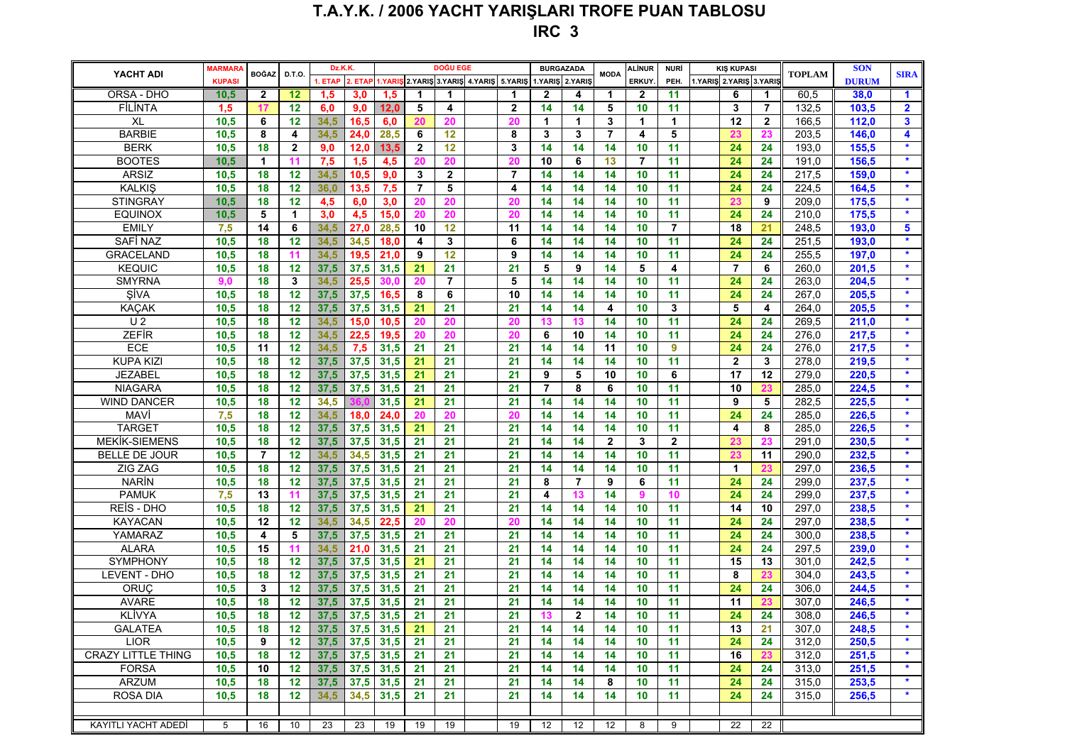# **T.A.Y.K. / 2006 YACHT YARIŞLARI TROFE PUAN TABLOSU IRC 3**

| YACHT ADI                 | <b>MARMARA</b> | <b>BOĞAZ</b>   | D.T.O.       | Dz.K.K. |         | <b>DOĞU EGE</b>  |                |                |  |                | <b>BURGAZADA</b> |                                                       | <b>MODA</b>    | <b>ALINUR</b>  | NURİ            | <b>KIŞ KUPASI</b> |                         |                | <b>TOPLAM</b> | <b>SON</b>   | <b>SIRA</b>          |
|---------------------------|----------------|----------------|--------------|---------|---------|------------------|----------------|----------------|--|----------------|------------------|-------------------------------------------------------|----------------|----------------|-----------------|-------------------|-------------------------|----------------|---------------|--------------|----------------------|
|                           | <b>KUPASI</b>  |                |              | . ETAP  | 2. ETAI | I.YARIS          |                |                |  |                |                  | 2. YARIS 3. YARIS 4. YARIS 5. YARIS 1. YARIS 2. YARIS |                | ERKUY.         | PEH.            |                   | 1.YARIS 2.YARIS 3.YARIS |                |               | <b>DURUM</b> |                      |
| ORSA - DHO                | 10,5           | $\mathbf{2}$   | 12           | 1,5     | 3,0     | 1,5              | 1              | 1              |  |                | $\mathbf{2}$     | 4                                                     | 1              | $\mathbf{2}$   | 11              |                   | 6                       | 1              | 60,5          | 38,0         | $\blacktriangleleft$ |
| FİLİNTA                   | 1,5            | 17             | 12           | 6,0     | 9,0     | 12.0             | 5              | 4              |  | $\mathbf{2}$   | 14               | 14                                                    | 5              | 10             | 11              |                   | 3                       | 7              | 132,5         | 103,5        | $\overline{2}$       |
| XL                        | 10,5           | 6              | 12           | 34,5    | 16.5    | 6,0              | 20             | 20             |  | 20             | 1                | 1                                                     | 3              | 1              | $\mathbf{1}$    |                   | 12                      | $\overline{2}$ | 166,5         | 112,0        | $\mathbf{3}$         |
| <b>BARBIE</b>             | 10,5           | 8              | 4            | 34,5    | 24,0    | 28,5             | 6              | 12             |  | 8              | 3                | 3                                                     | $\overline{7}$ | 4              | 5               |                   | 23                      | 23             | 203,5         | 146,0        | 4                    |
| <b>BERK</b>               | 10,5           | 18             | $\mathbf{2}$ | 9,0     | 12,0    | 13,5             | $\mathbf{2}$   | 12             |  | 3              | 14               | 14                                                    | 14             | 10             | 11              |                   | 24                      | 24             | 193,0         | 155,5        | $\star$              |
| <b>BOOTES</b>             | 10,5           | 1              | 11           | 7,5     | 1,5     | 4,5              | 20             | 20             |  | 20             | 10               | 6                                                     | 13             | $\overline{7}$ | 11              |                   | 24                      | 24             | 191,0         | 156,5        | $\star$              |
| <b>ARSIZ</b>              | 10,5           | 18             | 12           | 34,5    | 10,5    | 9,0              | 3              | $\mathbf{2}$   |  | $\overline{7}$ | 14               | 14                                                    | 14             | 10             | 11              |                   | 24                      | 24             | 217,5         | 159,0        | $\star$              |
| <b>KALKIŞ</b>             | 10,5           | 18             | 12           | 36,0    | 13,5    | 7,5              | $\overline{7}$ | 5              |  | 4              | 14               | 14                                                    | 14             | 10             | 11              |                   | 24                      | 24             | 224,5         | 164,5        | $\star$              |
| <b>STINGRAY</b>           | 10,5           | 18             | 12           | 4,5     | 6,0     | 3,0              | 20             | 20             |  | 20             | 14               | 14                                                    | 14             | 10             | 11              |                   | 23                      | 9              | 209,0         | 175,5        | $\star$              |
| <b>EQUINOX</b>            | 10,5           | 5              | 1            | 3,0     | 4,5     | 15,0             | 20             | 20             |  | 20             | 14               | 14                                                    | 14             | 10             | 11              |                   | 24                      | 24             | 210,0         | 175,5        | $\star$              |
| <b>EMILY</b>              | 7,5            | 14             | 6            | 34,5    | 27,0    | 28,5             | 10             | 12             |  | 11             | 14               | 14                                                    | 14             | 10             | $\overline{7}$  |                   | 18                      | 21             | 248,5         | 193,0        | $5\phantom{1}$       |
| <b>SAFİ NAZ</b>           | 10,5           | 18             | 12           | 34,5    | 34,5    | 18,0             | 4              | 3              |  | 6              | 14               | 14                                                    | 14             | 10             | 11              |                   | 24                      | 24             | 251,5         | 193,0        | $\star$              |
| <b>GRACELAND</b>          | 10,5           | 18             | 11           | 34,5    | 19,5    | 21.0             | 9              | 12             |  | 9              | 14               | 14                                                    | 14             | 10             | 11              |                   | 24                      | 24             | 255,5         | 197.0        | $\star$              |
| <b>KEQUIC</b>             | 10,5           | 18             | 12           | 37,5    | 37,5    | 31,5             | 21             | 21             |  | 21             | 5                | 9                                                     | 14             | 5              | 4               |                   | $\overline{7}$          | 6              | 260,0         | 201,5        | $\star$              |
| <b>SMYRNA</b>             | 9.0            | 18             | 3            | 34,5    | 25,5    | 30.0             | 20             | $\overline{7}$ |  | 5              | 14               | 14                                                    | 14             | 10             | 11              |                   | 24                      | 24             | 263,0         | 204,5        | $\star$              |
| <b>SİVA</b>               | 10,5           | 18             | 12           | 37,5    | 37,5    | 16,5             | 8              | 6              |  | 10             | 14               | 14                                                    | 14             | 10             | 11              |                   | 24                      | 24             | 267,0         | 205,5        | $\star$              |
| <b>KAÇAK</b>              | 10,5           | 18             | 12           | 37,5    | 37,5    | 31,5             | 21             | 21             |  | 21             | 14               | 14                                                    | 4              | 10             | 3               |                   | 5                       | 4              | 264,0         | 205,5        | $\star$              |
| U <sub>2</sub>            | 10,5           | 18             | 12           | 34,5    | 15,0    | 10,5             | 20             | 20             |  | 20             | 13               | 13                                                    | 14             | 10             | 11              |                   | 24                      | 24             | 269,5         | 211,0        | $\star$              |
| <b>ZEFIR</b>              | 10,5           | 18             | 12           | 34,5    | 22,5    | 19,5             | 20             | 20             |  | 20             | 6                | 10                                                    | 14             | 10             | 11              |                   | 24                      | 24             | 276,0         | 217,5        | $\star$              |
| ECE                       | 10,5           | 11             | 12           | 34,5    | 7,5     | 31,5             | 21             | 21             |  | 21             | 14               | 14                                                    | 11             | 10             | $\overline{9}$  |                   | 24                      | 24             | 276,0         | 217,5        | $\star$              |
| <b>KUPA KIZI</b>          | 10,5           | 18             | 12           | 37,5    | 37,5    | 31,5             | 21             | 21             |  | 21             | 14               | 14                                                    | 14             | 10             | 11              |                   | $\mathbf{2}$            | 3              | 278,0         | 219,5        | $\star$              |
| JEZABEL                   | 10,5           | 18             | 12           | 37,5    | 37,5    | 31,5             | 21             | 21             |  | 21             | 9                | 5                                                     | 10             | 10             | 6               |                   | 17                      | 12             | 279,0         | 220,5        | $\star$              |
| <b>NIAGARA</b>            | 10,5           | 18             | 12           | 37,5    | 37,5    | 31,5             | 21             | 21             |  | 21             | $\overline{7}$   | 8                                                     | 6              | 10             | 11              |                   | 10                      | 23             | 285,0         | 224,5        |                      |
| <b>WIND DANCER</b>        | 10,5           | 18             | 12           | 34,5    |         | 31,5             | 21             | 21             |  | 21             | 14               | 14                                                    | 14             | 10             | 11              |                   | 9                       | 5              | 282,5         | 225,5        | $\star$              |
| MAVİ                      | 7,5            | 18             | 12           | 34,5    | 18,0    | 24.0             | 20             | 20             |  | 20             | 14               | 14                                                    | 14             | 10             | 11              |                   | 24                      | 24             | 285,0         | 226,5        | $\star$              |
| <b>TARGET</b>             | 10,5           | 18             | 12           | 37,5    | 37,5    | 31,5             | 21             | 21             |  | 21             | 14               | 14                                                    | 14             | 10             | 11              |                   | 4                       | 8              | 285,0         | 226,5        | $\star$              |
| <b>MEKİK-SIEMENS</b>      | 10,5           | 18             | 12           | 37,5    | 37,5    | 31,5             | 21             | 21             |  | 21             | 14               | 14                                                    | $\overline{2}$ | 3              | $\overline{2}$  |                   | 23                      | 23             | 291,0         | 230,5        | $\star$              |
| BELLE DE JOUR             | 10,5           | $\overline{7}$ | 12           | 34,5    | 34,5    | 31,5             | 21             | 21             |  | 21             | 14               | 14                                                    | 14             | 10             | 11              |                   | 23                      | 11             | 290,0         | 232,5        | $\star$              |
| ZIG ZAG                   | 10,5           | 18             | 12           | 37,5    | 37,5    | 31,5             | 21             | 21             |  | 21             | 14               | 14                                                    | 14             | 10             | 11              |                   | $\blacktriangleleft$    | 23             | 297,0         | 236,5        | $\star$              |
| <b>NARIN</b>              | 10,5           | 18             | 12           | 37,5    | 37,5    | 31,5             | 21             | 21             |  | 21             | 8                | $\overline{7}$                                        | 9              | 6              | 11              |                   | 24                      | 24             | 299,0         | 237,5        | $\star$              |
| <b>PAMUK</b>              | 7,5            | 13             | 11           | 37,5    | 37,5    | 31,5             | 21             | 21             |  | 21             | 4                | 13                                                    | 14             | 9              | 10              |                   | 24                      | 24             | 299,0         | 237,5        | $\star$              |
| REIS - DHO                | 10,5           | 18             | 12           | 37,5    | 37,5    | 31,5             | 21             | 21             |  | 21             | 14               | 14                                                    | 14             | 10             | 11              |                   | 14                      | 10             | 297,0         | 238,5        | $\star$              |
| <b>KAYACAN</b>            | 10,5           | 12             | 12           | 34,5    | 34,5    | 22,5             | 20             | 20             |  | 20             | 14               | 14                                                    | 14             | 10             | 11              |                   | 24                      | 24             | 297,0         | 238,5        | $\star$              |
| YAMARAZ                   | 10,5           | 4              | 5            | 37,5    | 37,5    | 31,5             | 21             | 21             |  | 21             | 14               | 14                                                    | 14             | 10             | 11              |                   | 24                      | 24             | 300,0         | 238,5        | $\star$              |
| <b>ALARA</b>              | 10,5           | 15             | 11           | 34,5    | 21,0    | 31,5             | 21             | 21             |  | 21             | 14               | 14                                                    | 14             | 10             | 11              |                   | 24                      | 24             | 297,5         | 239,0        | $\star$              |
|                           |                |                |              |         |         |                  |                |                |  |                |                  |                                                       |                |                |                 |                   |                         |                |               |              | $\star$              |
| SYMPHONY<br>LEVENT - DHO  | 10,5           | 18             | 12           | 37,5    | 37,5    | 31,5             | 21             | 21<br>21       |  | 21             | 14<br>14         | 14                                                    | 14             | 10             | 11              |                   | 15                      | 13             | 301,0         | 242,5        | $\star$              |
|                           | 10,5           | 18             | 12           | 37,5    | 37,5    | 31,5             | 21             |                |  | 21             |                  | 14                                                    | 14             | 10             | 11              |                   | 8                       | 23             | 304,0         | 243,5        | $\star$              |
| ORUÇ                      | 10,5           | 3              | 12<br>12     | 37,5    | 37,5    | 31,5             | 21             | 21             |  | 21             | 14               | 14                                                    | 14             | 10             | 11              |                   | 24                      | 24             | 306,0         | 244,5        | $\star$              |
| <b>AVARE</b>              | 10,5           | 18             |              | 37,5    | 37,5    | 31,5             | 21             | 21             |  | 21             | 14               | 14                                                    | 14             | 10             | 11              |                   | 11                      |                | 307,0         | 246,5        | $\star$              |
| <b>KLİVYA</b>             | 10,5           | 18             | 12           | 37,5    | 37,5    | 31,5             | 21             | 21             |  | 21             | 13               | $\mathbf{2}$                                          | 14             | 10             | 11              |                   | 24                      | 24             | 308,0         | 246,5        |                      |
| <b>GALATEA</b>            | 10,5           | 18             | 12           |         |         | $37,5$ 37,5 31,5 | 21             | 21             |  | 21             | 14               | 14                                                    | 14             | 10             | $\overline{11}$ |                   | 13                      | 21             | 307,0         | 248,5        |                      |
| <b>LIOR</b>               | 10,5           | 9              | 12           | 37,5    | 37,5    | 31,5             | 21             | 21             |  | 21             | 14               | 14                                                    | 14             | 10             | 11              |                   | 24                      | 24             | 312,0         | 250,5        | $\star$              |
| <b>CRAZY LITTLE THING</b> | 10,5           | 18             | 12           | 37,5    | 37,5    | 31,5             | 21             | 21             |  | 21             | 14               | 14                                                    | 14             | 10             | 11              |                   | 16                      | 23             | 312,0         | 251,5        | $\star$              |
| <b>FORSA</b>              | 10,5           | 10             | 12           | 37,5    | 37,5    | 31,5             | 21             | 21             |  | 21             | 14               | 14                                                    | 14             | 10             | 11              |                   | 24                      | 24             | 313,0         | 251,5        | $\star$              |
| <b>ARZUM</b>              | 10,5           | 18             | 12           | 37,5    | 37,5    | 31,5             | 21             | 21             |  | 21             | 14               | 14                                                    | 8              | 10             | 11              |                   | 24                      | 24             | 315,0         | 253,5        | $\star$              |
| <b>ROSA DIA</b>           | 10,5           | 18             | 12           | 34,5    | 34,5    | 31,5             | 21             | 21             |  | 21             | 14               | 14                                                    | 14             | 10             | 11              |                   | 24                      | 24             | 315,0         | 256,5        | $\star$              |
|                           |                |                |              |         |         |                  |                |                |  |                |                  |                                                       |                |                |                 |                   |                         |                |               |              |                      |
| KAYITLI YACHT ADEDİ       | 5              | 16             | 10           | 23      | 23      | 19               | 19             | 19             |  | 19             | 12               | 12                                                    | 12             | 8              | 9               |                   | 22                      | 22             |               |              |                      |